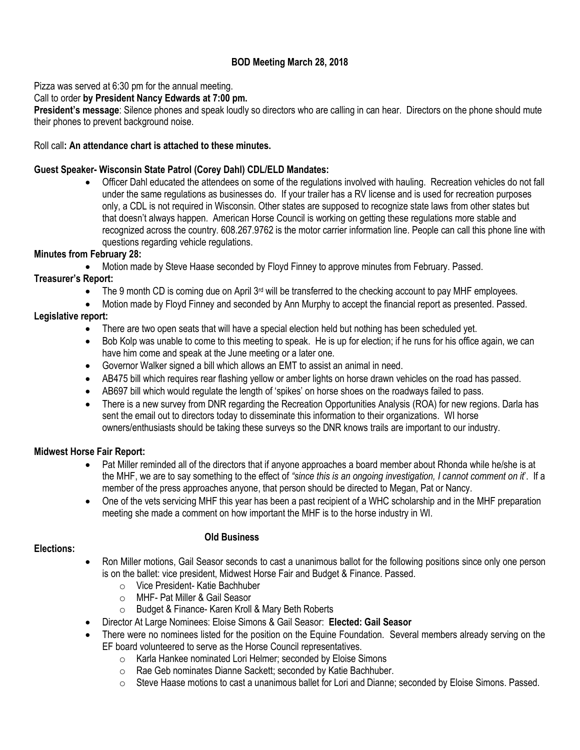# **BOD Meeting March 28, 2018**

Pizza was served at 6:30 pm for the annual meeting.

## Call to order **by President Nancy Edwards at 7:00 pm.**

**President's message**: Silence phones and speak loudly so directors who are calling in can hear. Directors on the phone should mute their phones to prevent background noise.

#### Roll call**: An attendance chart is attached to these minutes.**

#### **Guest Speaker- Wisconsin State Patrol (Corey Dahl) CDL/ELD Mandates:**

 Officer Dahl educated the attendees on some of the regulations involved with hauling. Recreation vehicles do not fall under the same regulations as businesses do. If your trailer has a RV license and is used for recreation purposes only, a CDL is not required in Wisconsin. Other states are supposed to recognize state laws from other states but that doesn't always happen. American Horse Council is working on getting these regulations more stable and recognized across the country. 608.267.9762 is the motor carrier information line. People can call this phone line with questions regarding vehicle regulations.

## **Minutes from February 28:**

Motion made by Steve Haase seconded by Floyd Finney to approve minutes from February. Passed.

## **Treasurer's Report:**

- $\bullet$  The 9 month CD is coming due on April 3<sup>rd</sup> will be transferred to the checking account to pay MHF employees.
- Motion made by Floyd Finney and seconded by Ann Murphy to accept the financial report as presented. Passed. **Legislative report:**
	- There are two open seats that will have a special election held but nothing has been scheduled yet.
	- Bob Kolp was unable to come to this meeting to speak. He is up for election; if he runs for his office again, we can have him come and speak at the June meeting or a later one.
	- Governor Walker signed a bill which allows an EMT to assist an animal in need.
	- AB475 bill which requires rear flashing yellow or amber lights on horse drawn vehicles on the road has passed.
	- AB697 bill which would regulate the length of 'spikes' on horse shoes on the roadways failed to pass.
	- There is a new survey from DNR regarding the Recreation Opportunities Analysis (ROA) for new regions. Darla has sent the email out to directors today to disseminate this information to their organizations. WI horse owners/enthusiasts should be taking these surveys so the DNR knows trails are important to our industry.

## **Midwest Horse Fair Report:**

- Pat Miller reminded all of the directors that if anyone approaches a board member about Rhonda while he/she is at the MHF, we are to say something to the effect of *"since this is an ongoing investigation, I cannot comment on it*'. If a member of the press approaches anyone, that person should be directed to Megan, Pat or Nancy.
- One of the vets servicing MHF this year has been a past recipient of a WHC scholarship and in the MHF preparation meeting she made a comment on how important the MHF is to the horse industry in WI.

#### **Old Business**

## **Elections:**

- Ron Miller motions, Gail Seasor seconds to cast a unanimous ballot for the following positions since only one person is on the ballet: vice president, Midwest Horse Fair and Budget & Finance. Passed.
	- o Vice President- Katie Bachhuber
	- o MHF- Pat Miller & Gail Seasor
	- o Budget & Finance- Karen Kroll & Mary Beth Roberts
	- Director At Large Nominees: Eloise Simons & Gail Seasor: **Elected: Gail Seasor**
- There were no nominees listed for the position on the Equine Foundation. Several members already serving on the EF board volunteered to serve as the Horse Council representatives.
	- o Karla Hankee nominated Lori Helmer; seconded by Eloise Simons
	- o Rae Geb nominates Dianne Sackett; seconded by Katie Bachhuber.
	- $\circ$  Steve Haase motions to cast a unanimous ballet for Lori and Dianne; seconded by Eloise Simons. Passed.